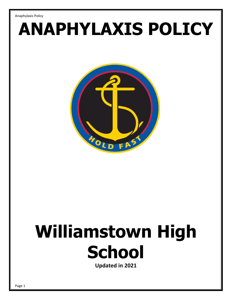# **ANAPHYLAXIS POLICY**



# **Williamstown High School**

**Updated in 2021**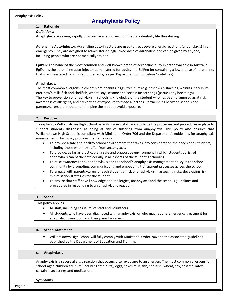# **1. Rationale**

## *Definitions:*

**Anaphylaxis**: A severe, rapidly progressive allergic reaction that is potentially life threatening.

**Adrenaline Auto-injector**: Adrenaline auto-injectors are used to treat severe [allergic reactions](https://www.healthdirect.gov.au/allergies) [\(anaphylaxis\)](https://www.healthdirect.gov.au/anaphylaxis) in an emergency. They are designed to administer a single, fixed dose of adrenaline and can be given by anyone, including people who are not medically trained.

**EpiPen**: The name of the most common and well-known brand of adrenaline auto-injector available in Australia. EpiPen is the adrenaline auto-injector administered for adults and EpiPen Jnr containing a lower dose of adrenaline, that is administered for children under 20kg (as per Department of Education Guidelines).

# **Anaphylaxis**:

The most common allergens in children are peanuts, eggs, tree nuts (e.g. cashews pistachios, walnuts, hazelnuts, etc), cow's milk, fish and shellfish, wheat, soy, sesame and certain insect stings (particularly bee stings). The key to prevention of anaphylaxis in schools is knowledge of the student who has been diagnosed as at risk, awareness of allergens, and prevention of exposure to those allergens. Partnerships between schools and parents/carers are important in helping the student avoid exposure.

# **2. Purpose**

To explain to Williamstown High School parents, carers, staff and students the processes and procedures in place to support students diagnosed as being at risk of suffering from anaphylaxis. This policy also ensures that Williamstown High School is compliant with Ministerial Order 706 and the Department's guidelines for anaphylaxis management. This policy provides the framework:

- To provide a safe and healthy school environment that takes into consideration the needs of all students, including those who may suffer from anaphylaxis.
- To provide, as far as practicable, a safe and supportive environment in which students at risk of anaphylaxis can participate equally in all aspects of the student's schooling.
- To raise awareness about anaphylaxis and the school's anaphylaxis management policy in the school community by promoting, communicating and embedding transparent processes across the school.
- To engage with parents/carers of each student at risk of anaphylaxis in assessing risks, developing risk minimisation strategies for the student.
- To ensure that staff have knowledge about allergies, anaphylaxis and the school's guidelines and procedures in responding to an anaphylactic reaction.

# **3. Scope**

#### This policy applies

- All staff, including casual relief staff and volunteers
- All students who have been diagnosed with anaphylaxis, or who may require emergency treatment for anaphylactic reaction, and their parents/ carers.

#### **4. School Statement**

 Williamstown High School will fully comply with Ministerial Order 706 and the associated guidelines published by the Department of Education and Training.

#### **5. Anaphylaxis**

Anaphylaxis is a severe allergic reaction that occurs after exposure to an allergen. The most common allergens for school-aged children are nuts (including tree nuts), eggs, cow's milk, fish, shellfish, wheat, soy, sesame, latex, certain insect stings and medication.

#### **Symptoms**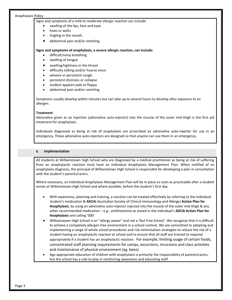Signs and symptoms of a mild to moderate allergic reaction can include:

- swelling of the lips, face and eyes
- hives or welts
- tingling in the mouth.
- abdominal pain and/or vomiting.

#### **Signs and symptoms of anaphylaxis, a severe allergic reaction, can include:**

- difficult/noisy breathing
- swelling of tongue
- swelling/tightness in the throat
- difficulty talking and/or hoarse voice
- wheeze or persistent cough
- persistent dizziness or collapse
- student appears pale or floppy
- abdominal pain and/or vomiting.

Symptoms usually develop within minutes but can take up to several hours to develop after exposure to an allergen.

#### **Treatment**

Adrenaline given as an injection (adrenaline auto-injector) into the muscle of the outer mid-thigh is the first aid treatment for anaphylaxis.

Individuals diagnosed as being at risk of anaphylaxis are prescribed an adrenaline auto-injector for use in an emergency. These adrenaline auto-injectors are designed so that anyone can use them in an emergency.

#### **6. Implementation**

All students at Williamstown High School who are diagnosed by a medical practitioner as being at risk of suffering from an anaphylactic reaction must have an Individual Anaphylaxis Management Plan. When notified of an anaphylaxis diagnosis, the principal of Williamstown High School is responsible for developing a plan in consultation with the student's parents/carers.

Where necessary, an Individual Anaphylaxis Management Plan will be in place as soon as practicable after a student enrols at Williamstown High School and where possible, before the student's first day.

- With awareness, planning and training, a reaction can be treated effectively by referring to the individual student's medication & **ASCIA** (Australian Society of Clinical Immunology and Allergy) **Action Plan for Anaphylaxis**, by using an adrenaline auto-injector injected into the muscle of the outer mid-thigh & any other recommended medication – e.g.: antihistamine as stated in the individual's **ASCIA Action Plan for Anaphylaxis** and calling '000'
- Williamstown High School is an "allergy aware" and not a 'Nut Free School'. We recognise that it is difficult to achieve a completely allergen free environment in a school context. We are committed to adopting and implementing a range of whole school procedures and risk minimisation strategies to reduce the risk of a student having an anaphylactic reaction at school and to ensure that all staff are trained to respond appropriately if a student has an anaphylactic reaction. For example; limiting usage of certain foods, concentrated staff planning requirements for camps, excursions, incursions and class activities and maintenance of physical environment (eg. bees).
- Age appropriate education of children with anaphylaxis is primarily the responsibility of parents/carers, but the school has a role to play in reinforcing awareness and educating staff.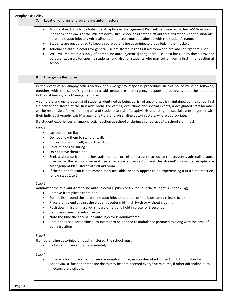#### **7. Location of plans and adrenaline auto-injectors**

- A copy of each student's Individual Anaphylaxis Management Plan will be stored with their ASCIA Action Plan for Anaphylaxis at the Williamstown High School designated first aid area, together with the student's adrenaline auto-injector. Adrenaline auto-injectors must be labelled with the student's name.
- Students are encouraged to keep a spare adrenaline auto-injector, labelled, in their locker.
- Adrenaline auto-injectors for general use are stored in the first aid room and are labelled "general use".
- WHS will maintain a supply of adrenaline auto-injector(s) for general use, as a back-up to those provided by parents/carers for specific students, and also for students who may suffer from a first time reaction at school.

#### **8. Emergency Response**

In the event of an anaphylactic reaction, the emergency response procedures in this policy must be followed, together with the school's general first aid procedures, emergency response procedures and the student's Individual Anaphylaxis Management Plan.

A complete and up-to-date list of students identified as being at risk of anaphylaxis is maintained by the school first aid officer and stored at the first aide room. For camps, excursions and special events, a designated staff member will be responsible for maintaining a list of students at risk of anaphylaxis attending the special event, together with their Individual Anaphylaxis Management Plans and adrenaline auto-injectors, where appropriate.

If a student experiences an anaphylactic reaction at school or during a school activity, school staff must:

Step 1:

- Lay the person flat
- Do not allow them to stand or walk
- If breathing is difficult, allow them to sit
- Be calm and reassuring
- Do not leave them alone
- Seek assistance from another staff member or reliable student to locate the student's adrenaline autoinjector or the school's general use adrenaline auto-injector, and the student's Individual Anaphylaxis Management Plan, stored at first aid room
- If the student's plan is not immediately available, or they appear to be experiencing a first time reaction, follow steps 2 to 5

#### Step 2:

Administer the relevant Adrenaline Auto-injector (EpiPen or EpiPen Jr -if the student is under 20kg)

- Remove from plastic container
- Form a fist around the adrenaline auto-injector and pull off the blue safety release (cap)
- Place orange end against the student's outer mid-thigh (with or without clothing)
- Push down hard until a click is heard or felt and hold in place for 3 seconds
- Remove adrenaline auto-injector
- Note the time the adrenaline auto-injector is administered
- Retain the used adrenaline auto-injector to be handed to ambulance paramedics along with the time of administration

#### Step 3:

If an adrenaline auto-injector is administered, the school must:

Call an ambulance (000) immediately

#### Step 4:

 If there is no improvement or severe symptoms progress (as described in the ASCIA Action Plan for Anaphylaxis), further adrenaline doses may be administered every five minutes, if other adrenaline autoinjectors are available.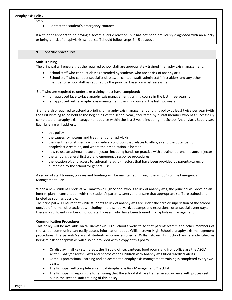Step 5:

Contact the student's emergency contacts.

If a student appears to be having a severe allergic reaction, but has not been previously diagnosed with an allergy or being at risk of anaphylaxis, school staff should follow steps 2 – 5 as above.

#### **9. Specific procedures**

#### **Staff Training**

The principal will ensure that the required school staff are appropriately trained in anaphylaxis management:

- School staff who conduct classes attended by students who are at risk of anaphylaxis
- School staff who conduct specialist classes, all canteen staff, admin staff, first aiders and any other member of school staff as required by the principal based on a risk assessment.

Staff who are required to undertake training must have completed:

- an approved face-to-face anaphylaxis management training course in the last three years, or
- an approved online anaphylaxis management training course in the last two years.

Staff are also required to attend a briefing on anaphylaxis management and this policy at least twice per year (with the first briefing to be held at the beginning of the school year), facilitated by a staff member who has successfully completed an anaphylaxis management course within the last 2 years including the School Anaphylaxis Supervisor. Each briefing will address:

- this policy
- the causes, symptoms and treatment of anaphylaxis
- the identities of students with a medical condition that relates to allergies and the potential for anaphylactic reaction, and where their medication is located
- how to use an adrenaline auto-injector, including hands on practice with a trainer adrenaline auto-injector
- the school's general first aid and emergency response procedures
- the location of, and access to, adrenaline auto-injectors that have been provided by parents/carers or purchased by the school for general use.

A record of staff training courses and briefings will be maintained through the school's online Emergency Management Plan.

When a new student enrols at Williamstown High School who is at risk of anaphylaxis, the principal will develop an interim plan in consultation with the student's parents/carers and ensure that appropriate staff are trained and briefed as soon as possible.

The principal will ensure that while students at risk of anaphylaxis are under the care or supervision of the school outside of normal class activities, including in the school yard, at camps and excursions, or at special event days, there is a sufficient number of school staff present who have been trained in anaphylaxis management.

#### **Communication Procedures**

This policy will be available on Williamstown High School's website so that parents/carers and other members of the school community can easily access information about Williamstown High School's anaphylaxis management procedures. The parents/carers of students who are enrolled at Williamstown High School and are identified as being at risk of anaphylaxis will also be provided with a copy of this policy.

- On display in all key staff areas, the first aid office, canteen, food rooms and front office are the ASCIA *Action Plans for Anaphylaxis* and photos of the Children with Anaphylaxis titled 'Medical Alerts'.
- Campus professional learning and an accredited anaphylaxis management training is completed every two years.
- The Principal will complete an annual Anaphylaxis Risk Management Checklist.
- The Principal is responsible for ensuring that the school staff are trained in accordance with process set out in the section staff training of this policy.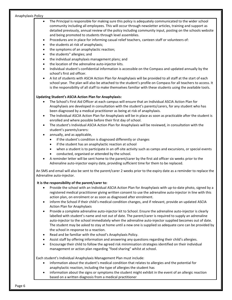- The Principal is responsible for making sure this policy is adequately communicated to the wider school community including all employees. This will occur through newsletter articles, training and support as detailed previously, annual review of the policy including community input, posting on the schools website and being promoted to students through level assemblies.
- Procedures are in place for informing casual relief teachers, canteen staff or volunteers of:
- the students at risk of anaphylaxis;
- the symptoms of an anaphylactic reaction;
- the students" allergies; and
- the individual anaphylaxis management plans; and
- the location of the adrenaline auto-injector kits.
- Individual student's confidential information is accessible on the Compass and updated annually by the school's first aid officer.
- A list of students with ASCIA Action Plan for Anaphylaxis will be provided to all staff at the start of each school year. The plan will also be attached to the student's profile on Compass for all teachers to access. It is the responsibility of all staff to make themselves familiar with these students using the available tools.

### **Updating Student's ASCIA Action Plan for Anaphylaxis:**

- The School's First Aid Officer at each campus will ensure that an Individual ASCIA Action Plan for Anaphylaxis are developed in consultation with the student's parents/carers, for any student who has been diagnosed by a medical practitioner as being at risk of anaphylaxis.
- The Individual ASCIA Action Plan for Anaphylaxis will be in place as soon as practicable after the student is enrolled and where possible before their first day of school.
- The student's Individual ASCIA Action Plan for Anaphylaxis will be reviewed, in consultation with the student's parents/carers:
- annually, and as applicable,
	- if the student's condition is diagnosed differently or changes
	- if the student has an anaphylactic reaction at school
	- when a student is to participate in an off-site activity such as camps and excursions, or special events
	- conducted, organised or attended by the school.
- A reminder letter will be sent home to the parent/carer by the first aid officer six weeks prior to the Adrenaline auto-injector expiry date, providing sufficient time for them to be replaced.

An SMS and email will also be sent to the parent/carer 2 weeks prior to the expiry date as a reminder to replace the Adrenaline auto-injector.

#### **It is the responsibility of the parent/carer to:**

- Provide the school with an Individual ASCIA Action Plan for Anaphylaxis with up-to-date photo, signed by a registered medical practitioner giving written consent to use the adrenaline auto-injector in line with this action plan, on enrolment or as soon as diagnosed after enrolment.
- inform the School if their child's medical condition changes, and if relevant, provide an updated ASCIA Action Plan for Anaphylaxis
- Provide a complete adrenaline auto-injector kit to School. Ensure the adrenaline auto-injector is clearly labelled with student's name and not out of date. The parent/carer is required to supply an adrenaline auto-injector to the school immediately when the adrenaline auto-injector supplied becomes out of date. The student may be asked to stay at home until a new one is supplied so adequate care can be provided by the school in response to a reaction.
- Read and be familiar with the school's Anaphylaxis Policy.
- Assist staff by offering information and answering any questions regarding their child's allergies.
- Encourage their child to follow the agreed risk minimisation strategies identified on their individual management or action plan regarding "food sharing" whilst at school.

Each student's Individual Anaphylaxis Management Plan must include:

- information about the student's medical condition that relates to allergies and the potential for anaphylactic reaction, including the type of allergies the student has
- information about the signs or symptoms the student might exhibit in the event of an allergic reaction based on a written diagnosis from a medical practitioner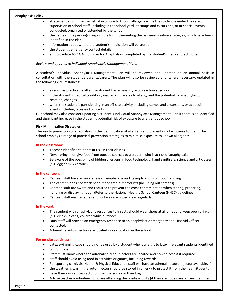- strategies to minimise the risk of exposure to known allergens while the student is under the care or supervision of school staff, including in the school yard, at camps and excursions, or at special events conducted, organised or attended by the school
- the name of the person(s) responsible for implementing the risk minimisation strategies, which have been identified in the Plan
- information about where the student's medication will be stored
- the student's emergency contact details
- an up-to-date ASCIA Action Plan for Anaphylaxis completed by the student's medical practitioner.

#### *Review and updates to Individual Anaphylaxis Management Plans*

A student's Individual Anaphylaxis Management Plan will be reviewed and updated on an annual basis in consultation with the student's parents/carers. The plan will also be reviewed and, where necessary, updated in the following circumstances:

- as soon as practicable after the student has an anaphylactic reaction at school
- if the student's medical condition, insofar as it relates to allergy and the potential for anaphylactic reaction, changes
- when the student is participating in an off-site activity, including camps and excursions, or at special events including fetes and concerts.

Our school may also consider updating a student's Individual Anaphylaxis Management Plan if there is an identified and significant increase in the student's potential risk of exposure to allergens at school.

#### **Risk Minimization Strategies**

The key to prevention of anaphylaxis is the identification of allergens and prevention of exposure to them. The school employs a range of practical prevention strategies to minimise exposure to known allergens:

#### **In the classroom:**

- Teacher identifies students at risk in their classes.
- Never bring in or give food from outside sources to a student who is at risk of anaphylaxis.
- Be aware of the possibility of hidden allergens in food technology, hand sanitisers, science and art classes (e.g. egg or milk cartons).

#### **In the canteen:**

- Canteen staff have an awareness of anaphylaxis and its implications on food handling.
- The canteen does not stock peanut and tree nut products (including nut spreads)
- Canteen staff are aware and required to prevent the cross contamination when storing, preparing, handling or displaying food. (Refer to the National Healthy School Canteen (NHSC) guidelines).
- Canteen staff ensure tables and surfaces are wiped clean regularly.

#### **In the yard:**

- The student with anaphylactic responses to insects should wear shoes at all times and keep open drinks (e.g. drinks in cans) covered while outdoors.
- Duty staff will provide an emergency response to an anaphylactic emergency and First Aid Officer contacted.
- Adrenaline auto-injectors are located in key location in the school.

#### **For on-site activities:**

- Latex swimming caps should not be used by a student who is allergic to latex. (relevant students identified on Compass).
- Staff must know where the adrenaline auto-injectors are located and how to access if required.
- Staff should avoid using food in activities or games, including rewards.
- For sporting carnivals, Health & Physical Education staff will have an adrenaline auto-injector available. If
- the weather is warm, the auto-injector should be stored in an esky to protect it from the heat. Students
- have their own auto-injector on their person or in their bag.
- Advise teachers/volunteers who are attending the onsite activity (if they are not aware) of any identified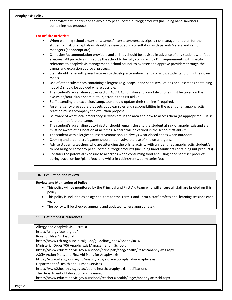anaphylactic student/s and to avoid any peanut/tree nut/egg products (including hand sanitisers containing nut products)

#### **For off-site activities:**

- When planning school excursions/camps/interstate/overseas trips, a risk management plan for the student at risk of anaphylaxis should be developed in consultation with parents/carers and camp managers (as appropriate).
- Campsites/accommodation providers and airlines should be advised in advance of any student with food allergies. All providers utilised by the school to be fully compliant by DET requirements with specific reference to anaphylaxis management. School council to oversee and approve providers through the camps and excursion approval process.
- Staff should liaise with parents/carers to develop alternative menus or allow students to bring their own meals.
- Use of other substances containing allergens (e.g. soaps, hand sanitisers, lotions or sunscreens containing nut oils) should be avoided where possible.
- The student's adrenaline auto-injector, ASCIA Action Plan and a mobile phone must be taken on the excursion/tour plus a spare auto-injector in the first aid kit.
- Staff attending the excursion/camp/tour should update their training if required.
- An emergency procedure that sets out clear roles and responsibilities in the event of an anaphylactic reaction must accompany the excursion proposal.
- Be aware of what local emergency services are in the area and how to access them (as appropriate). Liaise with them before the camp.
- The student's adrenaline auto-injector should remain close to the student at risk of anaphylaxis and staff must be aware of its location at all times. A spare will be carried in the school first aid kit.
- The student with allergies to insect venoms should always wear closed shoes when outdoors.
- Cooking and art and craft games should not involve the use of known allergens.
- Advise students/teachers who are attending the offsite activity with an identified anaphylactic student/s to not bring or carry any peanut/tree nut/egg products (including hand sanitisers containing nut products)
- Consider the potential exposure to allergens when consuming food and using hand sanitiser products during travel on bus/plane/etc. and whilst in cabins/tents/dormitories/etc.

#### **10. Evaluation and review**

#### . **Review and Monitoring of Policy**

- This policy will be monitored by the Principal and First Aid team who will ensure all staff are briefed on this policy.
- This policy is included as an agenda item for the Term 1 and Term 4 staff professional learning sessions each year.
- The policy will be checked annually and updated (where appropriate).

# **11. Definitions & references**

Allergy and Anaphylaxis Australia https://allergyfacts.org.au/ Royal Children's Hospital https://www.rch.org.au/clinicalguide/guideline\_index/Anaphylaxis/ Ministerial Order 706 Anaphylaxis Management in Schools https://www.education.vic.gov.au/school/principals/spag/health/Pages/anaphylaxis.aspx ASCIA Action Plans and First Aid Plans for Anaphylaxis https://www.allergy.org.au/hp/anaphylaxis/ascia-action-plan-for-anaphylaxis Department of Health and Human Services https://www2.health.vic.gov.au/public-health/anaphylaxis-notifications The Department of Education and Training https://www.education.vic.gov.au/school/teachers/health/Pages/anaphylaxisschl.aspx